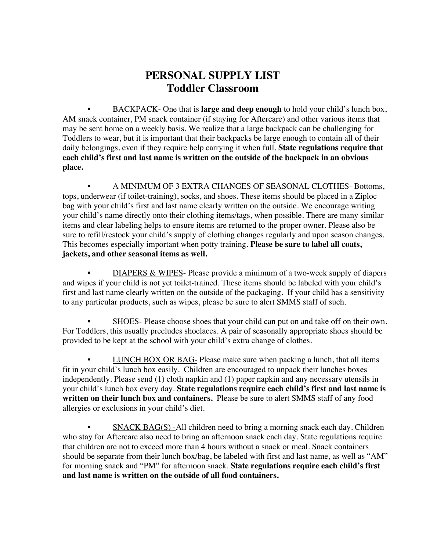## **PERSONAL SUPPLY LIST Toddler Classroom**

• BACKPACK- One that is **large and deep enough** to hold your child's lunch box, AM snack container, PM snack container (if staying for Aftercare) and other various items that may be sent home on a weekly basis. We realize that a large backpack can be challenging for Toddlers to wear, but it is important that their backpacks be large enough to contain all of their daily belongings, even if they require help carrying it when full. **State regulations require that each child's first and last name is written on the outside of the backpack in an obvious place.**

• A MINIMUM OF 3 EXTRA CHANGES OF SEASONAL CLOTHES- Bottoms, tops, underwear (if toilet-training), socks, and shoes. These items should be placed in a Ziploc bag with your child's first and last name clearly written on the outside. We encourage writing your child's name directly onto their clothing items/tags, when possible. There are many similar items and clear labeling helps to ensure items are returned to the proper owner. Please also be sure to refill/restock your child's supply of clothing changes regularly and upon season changes. This becomes especially important when potty training. **Please be sure to label all coats, jackets, and other seasonal items as well.**

• DIAPERS & WIPES- Please provide a minimum of a two-week supply of diapers and wipes if your child is not yet toilet-trained. These items should be labeled with your child's first and last name clearly written on the outside of the packaging. If your child has a sensitivity to any particular products, such as wipes, please be sure to alert SMMS staff of such.

SHOES- Please choose shoes that your child can put on and take off on their own. For Toddlers, this usually precludes shoelaces. A pair of seasonally appropriate shoes should be provided to be kept at the school with your child's extra change of clothes.

• LUNCH BOX OR BAG- Please make sure when packing a lunch, that all items fit in your child's lunch box easily. Children are encouraged to unpack their lunches boxes independently. Please send (1) cloth napkin and (1) paper napkin and any necessary utensils in your child's lunch box every day. **State regulations require each child's first and last name is written on their lunch box and containers.** Please be sure to alert SMMS staff of any food allergies or exclusions in your child's diet.

 $SNACK BAG(S)$ -All children need to bring a morning snack each day. Children who stay for Aftercare also need to bring an afternoon snack each day. State regulations require that children are not to exceed more than 4 hours without a snack or meal. Snack containers should be separate from their lunch box/bag, be labeled with first and last name, as well as "AM" for morning snack and "PM" for afternoon snack. **State regulations require each child's first and last name is written on the outside of all food containers.**